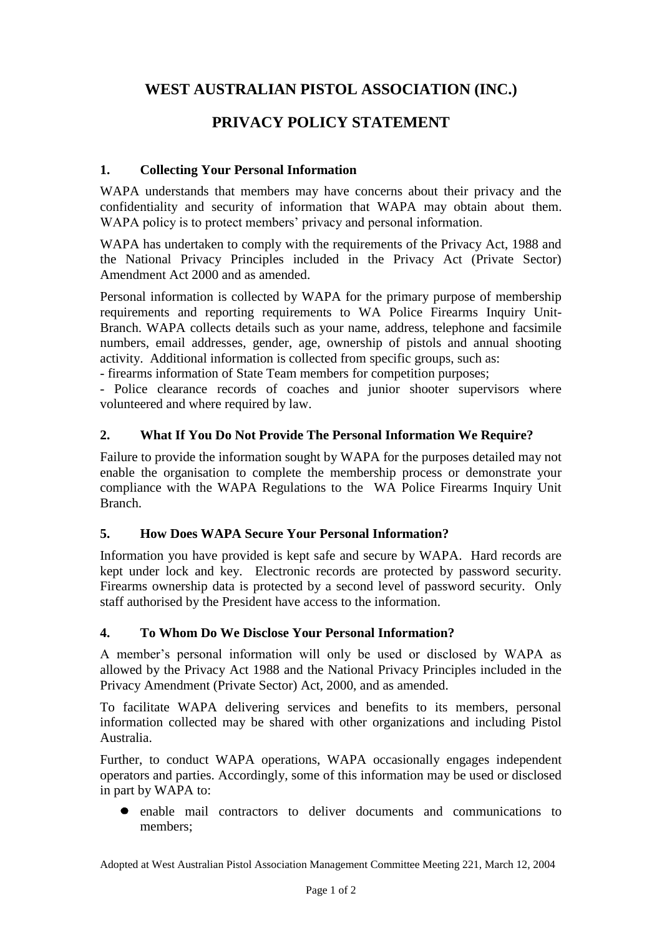# **WEST AUSTRALIAN PISTOL ASSOCIATION (INC.)**

# **PRIVACY POLICY STATEMENT**

## **1. Collecting Your Personal Information**

WAPA understands that members may have concerns about their privacy and the confidentiality and security of information that WAPA may obtain about them. WAPA policy is to protect members' privacy and personal information.

WAPA has undertaken to comply with the requirements of the Privacy Act, 1988 and the National Privacy Principles included in the Privacy Act (Private Sector) Amendment Act 2000 and as amended.

Personal information is collected by WAPA for the primary purpose of membership requirements and reporting requirements to WA Police Firearms Inquiry Unit-Branch. WAPA collects details such as your name, address, telephone and facsimile numbers, email addresses, gender, age, ownership of pistols and annual shooting activity. Additional information is collected from specific groups, such as:

- firearms information of State Team members for competition purposes;

- Police clearance records of coaches and junior shooter supervisors where volunteered and where required by law.

### **2. What If You Do Not Provide The Personal Information We Require?**

Failure to provide the information sought by WAPA for the purposes detailed may not enable the organisation to complete the membership process or demonstrate your compliance with the WAPA Regulations to the WA Police Firearms Inquiry Unit Branch.

## **5. How Does WAPA Secure Your Personal Information?**

Information you have provided is kept safe and secure by WAPA. Hard records are kept under lock and key. Electronic records are protected by password security. Firearms ownership data is protected by a second level of password security. Only staff authorised by the President have access to the information.

### **4. To Whom Do We Disclose Your Personal Information?**

A member's personal information will only be used or disclosed by WAPA as allowed by the Privacy Act 1988 and the National Privacy Principles included in the Privacy Amendment (Private Sector) Act, 2000, and as amended.

To facilitate WAPA delivering services and benefits to its members, personal information collected may be shared with other organizations and including Pistol Australia.

Further, to conduct WAPA operations, WAPA occasionally engages independent operators and parties. Accordingly, some of this information may be used or disclosed in part by WAPA to:

enable mail contractors to deliver documents and communications to members;